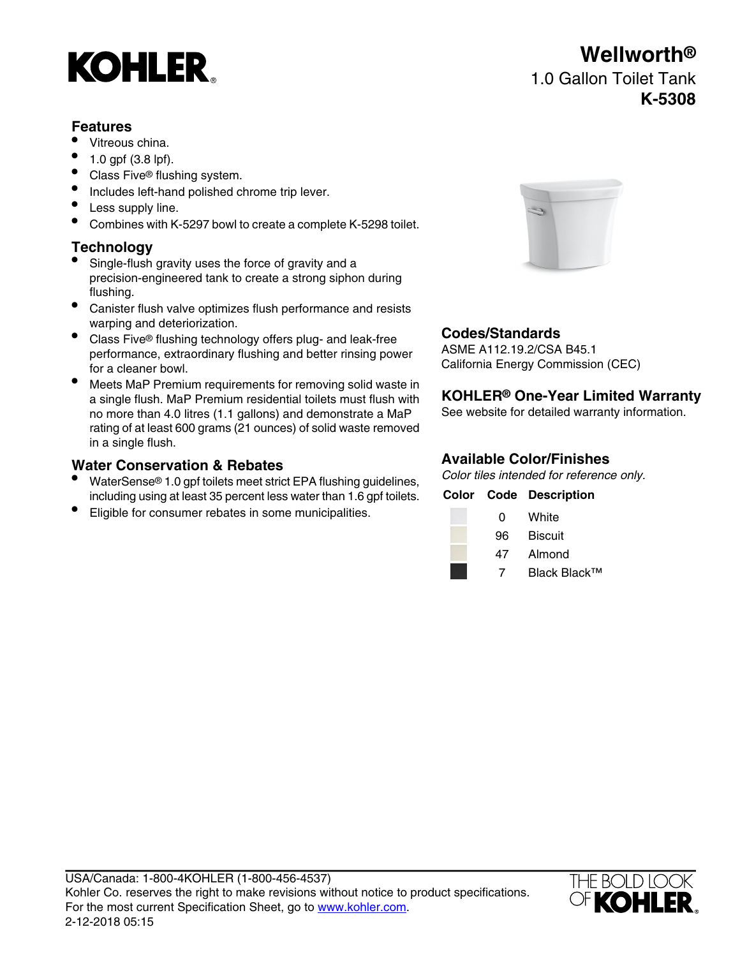# **KOHLER**

### **Features**

- Vitreous china.
- 1.0 gpf (3.8 lpf).
- Class Five<sup>®</sup> flushing system.
- Includes left-hand polished chrome trip lever.
- Less supply line.
- Combines with K-5297 bowl to create a complete K-5298 toilet.

## **Technology**

- Single-flush gravity uses the force of gravity and a precision-engineered tank to create a strong siphon during flushing.
- Canister flush valve optimizes flush performance and resists warping and deteriorization.
- **Codes/Standards**<br>■ Class Five® flushing technology offers plug- and leak-free **Codes/Standards** performance, extraordinary flushing and better rinsing power for a cleaner bowl.
- Meets MaP Premium requirements for removing solid waste in a single flush. MaP Premium residential toilets must flush with **KOHLER® One-Year Limited Warranty** no more than 4.0 litres (1.1 gallons) and demonstrate a MaP rating of at least 600 grams (21 ounces) of solid waste removed in a single flush.

# **Water Conservation & Rebates**<br>Color tiles intended for reference only.

- Color tiles intended for reference only. because the total of reference on the total to water strict EPA flushing guidelines,<br>including using at least 35 percent less water than 1.6 gpf toilets. Color Code Description including using at least 35 percent less water than 1.6 gpf toilets.
- Eligible for consumer rebates in some municipalities.



ASME A112.19.2/CSA B45.1 California Energy Commission (CEC)

| ŋ  | White   |
|----|---------|
| 96 | Biscuit |
| 47 | Almond  |

7 Black Black™



# **Wellworth®** 1.0 Gallon Toilet Tank **K-5308**